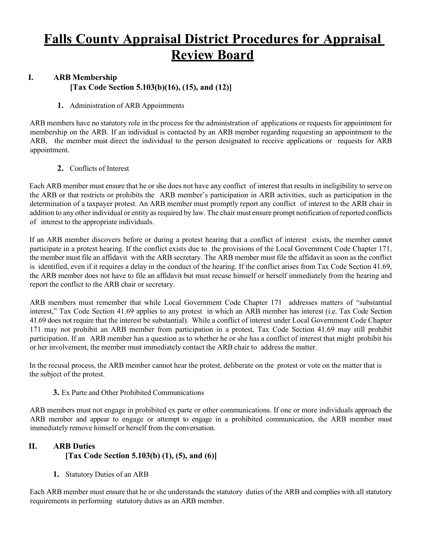# **Falls County Appraisal District Procedures for Appraisal Review Board**

## **I. ARB Membership [Tax Code Section 5.103(b)(16), (15), and (12)]**

#### **1.** Administration of ARB Appointments

ARB members have no statutory role in the process for the administration of applications or requests for appointment for membership on the ARB. If an individual is contacted by an ARB member regarding requesting an appointment to the ARB, the member must direct the individual to the person designated to receive applications or requests for ARB appointment.

**2.** Conflicts of Interest

Each ARB member must ensure that he or she does not have any conflict of interest that results in ineligibility to serve on the ARB or that restricts or prohibits the ARB member's participation in ARB activities, such as participation in the determination of a taxpayer protest. An ARB member must promptly report any conflict of interest to the ARB chair in addition to any other individual or entity as required by law. The chair must ensure prompt notification of reported conflicts of interest to the appropriate individuals.

If an ARB member discovers before or during a protest hearing that a conflict of interest exists, the member cannot participate in a protest hearing. If the conflict exists due to the provisions of the Local Government Code Chapter 171, the member must file an affidavit with the ARB secretary. The ARB member must file the affidavit as soon as the conflict is identified, even if it requires a delay in the conduct of the hearing. If the conflict arises from Tax Code Section 41.69, the ARB member does not have to file an affidavit but must recuse himself or herself immediately from the hearing and report the conflict to the ARB chair or secretary.

ARB members must remember that while Local Government Code Chapter 171 addresses matters of "substantial interest," Tax Code Section 41.69 applies to any protest in which an ARB member has interest (i.e. Tax Code Section 41.69 does not require that the interest be substantial). While a conflict of interest under Local Government Code Chapter 171 may not prohibit an ARB member from participation in a protest, Tax Code Section 41.69 may still prohibit participation. If an ARB member has a question as to whether he or she has a conflict of interest that might prohibit his or her involvement, the member must immediately contact the ARB chair to address the matter.

In the recusal process, the ARB member cannot hear the protest, deliberate on the protest or vote on the matter that is the subject of the protest.

**3.** Ex Parte and Other Prohibited Communications

ARB members must not engage in prohibited ex parte or other communications. If one or more individuals approach the ARB member and appear to engage or attempt to engage in a prohibited communication, the ARB member must immediately remove himself or herself from the conversation.

# **II. ARB Duties [Tax Code Section 5.103(b) (1), (5), and (6)]**

**1.** Statutory Duties of an ARB

Each ARB member must ensure that he or she understands the statutory duties of the ARB and complies with all statutory requirements in performing statutory duties as an ARB member.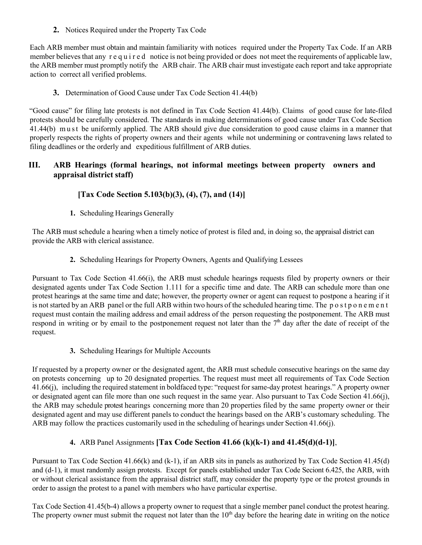**2.** Notices Required under the Property Tax Code

Each ARB member must obtain and maintain familiarity with notices required under the Property Tax Code. If an ARB member believes that any r e q u i r e d notice is not being provided or does not meet the requirements of applicable law, the ARB member must promptly notify the ARB chair. The ARB chair must investigate each report and take appropriate action to correct all verified problems.

**3.** Determination of Good Cause under Tax Code Section 41.44(b)

"Good cause" for filing late protests is not defined in Tax Code Section 41.44(b). Claims of good cause for late-filed protests should be carefully considered. The standards in making determinations of good cause under Tax Code Section 41.44(b) must be uniformly applied. The ARB should give due consideration to good cause claims in a manner that properly respects the rights of property owners and their agents while not undermining or contravening laws related to filing deadlines or the orderly and expeditious fulfillment of ARB duties.

## **III. ARB Hearings (formal hearings, not informal meetings between property owners and appraisal district staff)**

## **[Tax Code Section 5.103(b)(3), (4), (7), and (14)]**

**1.** Scheduling Hearings Generally

The ARB must schedule a hearing when a timely notice of protest is filed and, in doing so, the appraisal district can provide the ARB with clerical assistance.

**2.** Scheduling Hearings for Property Owners, Agents and Qualifying Lessees

Pursuant to Tax Code Section 41.66(i), the ARB must schedule hearings requests filed by property owners or their designated agents under Tax Code Section 1.111 for a specific time and date. The ARB can schedule more than one protest hearings at the same time and date; however, the property owner or agent can request to postpone a hearing if it is not started by an ARB panel or the full ARB within two hours of the scheduled hearing time. The postponement request must contain the mailing address and email address of the person requesting the postponement. The ARB must respond in writing or by email to the postponement request not later than the  $7<sup>th</sup>$  day after the date of receipt of the request.

**3.** Scheduling Hearings for Multiple Accounts

If requested by a property owner or the designated agent, the ARB must schedule consecutive hearings on the same day on protests concerning up to 20 designated properties. The request must meet all requirements of Tax Code Section 41.66(j), including the required statement in boldfaced type: "request for same-day protest hearings." A property owner or designated agent can file more than one such request in the same year. Also pursuant to Tax Code Section 41.66(j), the ARB may schedule protest hearings concerning more than 20 properties filed by the same property owner or their designated agent and may use different panels to conduct the hearings based on the ARB's customary scheduling. The ARB may follow the practices customarily used in the scheduling of hearings under Section 41.66(j).

**4.** ARB Panel Assignments **[Tax Code Section 41.66 (k)(k-1) and 41.45(d)(d-1)]**,

Pursuant to Tax Code Section 41.66(k) and (k-1), if an ARB sits in panels as authorized by Tax Code Section 41.45(d) and (d-1), it must randomly assign protests. Except for panels established under Tax Code Seciont 6.425, the ARB, with or without clerical assistance from the appraisal district staff, may consider the property type or the protest grounds in order to assign the protest to a panel with members who have particular expertise.

Tax Code Section 41.45(b-4) allows a property owner to request that a single member panel conduct the protest hearing. The property owner must submit the request not later than the  $10<sup>th</sup>$  day before the hearing date in writing on the notice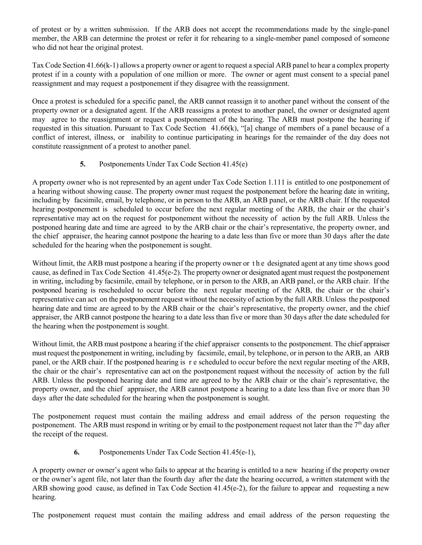of protest or by a written submission. If the ARB does not accept the recommendations made by the single-panel member, the ARB can determine the protest or refer it for rehearing to a single-member panel composed of someone who did not hear the original protest.

Tax Code Section 41.66(k-1) allows a property owner or agent to request a special ARB panel to hear a complex property protest if in a county with a population of one million or more. The owner or agent must consent to a special panel reassignment and may request a postponement if they disagree with the reassignment.

Once a protest is scheduled for a specific panel, the ARB cannot reassign it to another panel without the consent of the property owner or a designated agent. If the ARB reassigns a protest to another panel, the owner or designated agent may agree to the reassignment or request a postponement of the hearing. The ARB must postpone the hearing if requested in this situation. Pursuant to Tax Code Section 41.66(k), "[a] change of members of a panel because of a conflict of interest, illness, or inability to continue participating in hearings for the remainder of the day does not constitute reassignment of a protest to another panel.

### **5.** Postponements Under Tax Code Section 41.45(e)

A property owner who is not represented by an agent under Tax Code Section 1.111 is entitled to one postponement of a hearing without showing cause. The property owner must request the postponement before the hearing date in writing, including by facsimile, email, by telephone, or in person to the ARB, an ARB panel, or the ARB chair. If the requested hearing postponement is scheduled to occur before the next regular meeting of the ARB, the chair or the chair's representative may act on the request for postponement without the necessity of action by the full ARB. Unless the postponed hearing date and time are agreed to by the ARB chair or the chair's representative, the property owner, and the chief appraiser, the hearing cannot postpone the hearing to a date less than five or more than 30 days after the date scheduled for the hearing when the postponement is sought.

Without limit, the ARB must postpone a hearing if the property owner or the designated agent at any time shows good cause, as defined in Tax Code Section 41.45(e-2). The property owner or designated agent must request the postponement in writing, including by facsimile, email by telephone, or in person to the ARB, an ARB panel, or the ARB chair. If the postponed hearing is rescheduled to occur before the next regular meeting of the ARB, the chair or the chair's representative can act on the postponement request without the necessity of action by the full ARB. Unless the postponed hearing date and time are agreed to by the ARB chair or the chair's representative, the property owner, and the chief appraiser, the ARB cannot postpone the hearing to a date less than five or more than 30 days after the date scheduled for the hearing when the postponement is sought.

Without limit, the ARB must postpone a hearing if the chief appraiser consents to the postponement. The chief appraiser must request the postponement in writing, including by facsimile, email, by telephone, or in person to the ARB, an ARB panel, or the ARB chair. If the postponed hearing is re scheduled to occur before the next regular meeting of the ARB, the chair or the chair's representative can act on the postponement request without the necessity of action by the full ARB. Unless the postponed hearing date and time are agreed to by the ARB chair or the chair's representative, the property owner, and the chief appraiser, the ARB cannot postpone a hearing to a date less than five or more than 30 days after the date scheduled for the hearing when the postponement is sought.

The postponement request must contain the mailing address and email address of the person requesting the postponement. The ARB must respond in writing or by email to the postponement request not later than the  $7<sup>th</sup>$  day after the receipt of the request.

**6.** Postponements Under Tax Code Section 41.45(e-1),

A property owner or owner's agent who fails to appear at the hearing is entitled to a new hearing if the property owner or the owner's agent file, not later than the fourth day after the date the hearing occurred, a written statement with the ARB showing good cause, as defined in Tax Code Section 41.45(e-2), for the failure to appear and requesting a new hearing.

The postponement request must contain the mailing address and email address of the person requesting the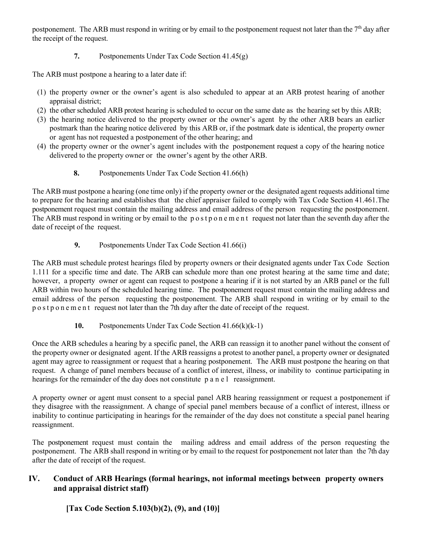postponement. The ARB must respond in writing or by email to the postponement request not later than the  $7<sup>th</sup>$  day after the receipt of the request.

**7.** Postponements Under Tax Code Section 41.45(g)

The ARB must postpone a hearing to a later date if:

- (1) the property owner or the owner's agent is also scheduled to appear at an ARB protest hearing of another appraisal district;
- (2) the other scheduled ARB protest hearing is scheduled to occur on the same date as the hearing set by this ARB;
- (3) the hearing notice delivered to the property owner or the owner's agent by the other ARB bears an earlier postmark than the hearing notice delivered by this ARB or, if the postmark date is identical, the property owner or agent has not requested a postponement of the other hearing; and
- (4) the property owner or the owner's agent includes with the postponement request a copy of the hearing notice delivered to the property owner or the owner's agent by the other ARB.
	- **8.** Postponements Under Tax Code Section 41.66(h)

The ARB must postpone a hearing (one time only) if the property owner or the designated agent requests additional time to prepare for the hearing and establishes that the chief appraiser failed to comply with Tax Code Section 41.461.The postponement request must contain the mailing address and email address of the person requesting the postponement. The ARB must respond in writing or by email to the postponement request not later than the seventh day after the date of receipt of the request.

**9.** Postponements Under Tax Code Section 41.66(i)

The ARB must schedule protest hearings filed by property owners or their designated agents under Tax Code Section 1.111 for a specific time and date. The ARB can schedule more than one protest hearing at the same time and date; however, a property owner or agent can request to postpone a hearing if it is not started by an ARB panel or the full ARB within two hours of the scheduled hearing time. The postponement request must contain the mailing address and email address of the person requesting the postponement. The ARB shall respond in writing or by email to the postponement request not later than the 7th day after the date of receipt of the request.

**10.** Postponements Under Tax Code Section 41.66(k)(k-1)

Once the ARB schedules a hearing by a specific panel, the ARB can reassign it to another panel without the consent of the property owner or designated agent. If the ARB reassigns a protest to another panel, a property owner or designated agent may agree to reassignment or request that a hearing postponement. The ARB must postpone the hearing on that request. A change of panel members because of a conflict of interest, illness, or inability to continue participating in hearings for the remainder of the day does not constitute p a n e l reassignment.

A property owner or agent must consent to a special panel ARB hearing reassignment or request a postponement if they disagree with the reassignment. A change of special panel members because of a conflict of interest, illness or inability to continue participating in hearings for the remainder of the day does not constitute a special panel hearing reassignment.

The postponement request must contain the mailing address and email address of the person requesting the postponement. The ARB shall respond in writing or by email to the request for postponement not later than the 7th day after the date of receipt of the request.

# **IV. Conduct of ARB Hearings (formal hearings, not informal meetings between property owners and appraisal district staff)**

**[Tax Code Section 5.103(b)(2), (9), and (10)]**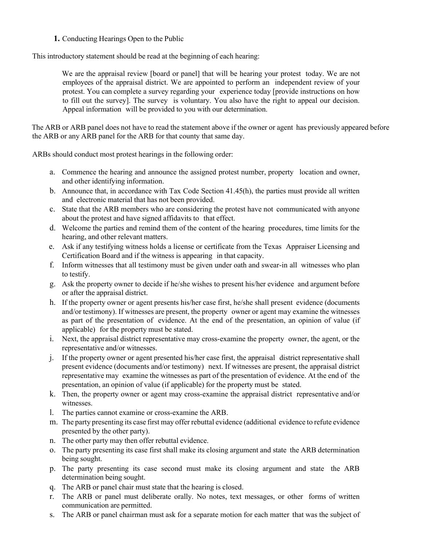**1.** Conducting Hearings Open to the Public

This introductory statement should be read at the beginning of each hearing:

We are the appraisal review [board or panel] that will be hearing your protest today. We are not employees of the appraisal district. We are appointed to perform an independent review of your protest. You can complete a survey regarding your experience today [provide instructions on how to fill out the survey]. The survey is voluntary. You also have the right to appeal our decision. Appeal information will be provided to you with our determination.

The ARB or ARB panel does not have to read the statement above if the owner or agent has previously appeared before the ARB or any ARB panel for the ARB for that county that same day.

ARBs should conduct most protest hearings in the following order:

- a. Commence the hearing and announce the assigned protest number, property location and owner, and other identifying information.
- b. Announce that, in accordance with Tax Code Section 41.45(h), the parties must provide all written and electronic material that has not been provided.
- c. State that the ARB members who are considering the protest have not communicated with anyone about the protest and have signed affidavits to that effect.
- d. Welcome the parties and remind them of the content of the hearing procedures, time limits for the hearing, and other relevant matters.
- e. Ask if any testifying witness holds a license or certificate from the Texas Appraiser Licensing and Certification Board and if the witness is appearing in that capacity.
- f. Inform witnesses that all testimony must be given under oath and swear-in all witnesses who plan to testify.
- g. Ask the property owner to decide if he/she wishes to present his/her evidence and argument before or after the appraisal district.
- h. If the property owner or agent presents his/her case first, he/she shall present evidence (documents and/or testimony). If witnesses are present, the property owner or agent may examine the witnesses as part of the presentation of evidence. At the end of the presentation, an opinion of value (if applicable) for the property must be stated.
- i. Next, the appraisal district representative may cross-examine the property owner, the agent, or the representative and/or witnesses.
- j. If the property owner or agent presented his/her case first, the appraisal district representative shall present evidence (documents and/or testimony) next. If witnesses are present, the appraisal district representative may examine the witnesses as part of the presentation of evidence. At the end of the presentation, an opinion of value (if applicable) for the property must be stated.
- k. Then, the property owner or agent may cross-examine the appraisal district representative and/or witnesses.
- l. The parties cannot examine or cross-examine the ARB.
- m. The party presenting its case first may offer rebuttal evidence (additional evidence to refute evidence presented by the other party).
- n. The other party may then offer rebuttal evidence.
- o. The party presenting its case first shall make its closing argument and state the ARB determination being sought.
- p. The party presenting its case second must make its closing argument and state the ARB determination being sought.
- q. The ARB or panel chair must state that the hearing is closed.
- r. The ARB or panel must deliberate orally. No notes, text messages, or other forms of written communication are permitted.
- s. The ARB or panel chairman must ask for a separate motion for each matter that was the subject of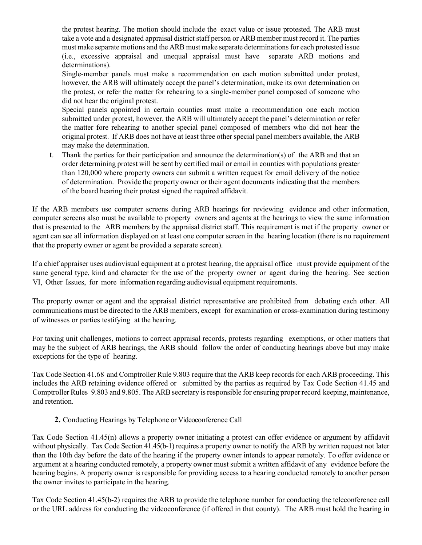the protest hearing. The motion should include the exact value or issue protested. The ARB must take a vote and a designated appraisal district staff person or ARB member must record it. The parties must make separate motions and the ARB must make separate determinations for each protested issue (i.e., excessive appraisal and unequal appraisal must have separate ARB motions and determinations).

Single-member panels must make a recommendation on each motion submitted under protest, however, the ARB will ultimately accept the panel's determination, make its own determination on the protest, or refer the matter for rehearing to a single-member panel composed of someone who did not hear the original protest.

Special panels appointed in certain counties must make a recommendation one each motion submitted under protest, however, the ARB will ultimately accept the panel's determination or refer the matter fore rehearing to another special panel composed of members who did not hear the original protest. If ARB does not have at least three other special panel members available, the ARB may make the determination.

t. Thank the parties for their participation and announce the determination(s) of the ARB and that an order determining protest will be sent by certified mail or email in counties with populations greater than 120,000 where property owners can submit a written request for email delivery of the notice of determination. Provide the property owner or their agent documents indicating that the members of the board hearing their protest signed the required affidavit.

If the ARB members use computer screens during ARB hearings for reviewing evidence and other information, computer screens also must be available to property owners and agents at the hearings to view the same information that is presented to the ARB members by the appraisal district staff. This requirement is met if the property owner or agent can see all information displayed on at least one computer screen in the hearing location (there is no requirement that the property owner or agent be provided a separate screen).

If a chief appraiser uses audiovisual equipment at a protest hearing, the appraisal office must provide equipment of the same general type, kind and character for the use of the property owner or agent during the hearing. See section VI, Other Issues, for more information regarding audiovisual equipment requirements.

The property owner or agent and the appraisal district representative are prohibited from debating each other. All communications must be directed to the ARB members, except for examination or cross-examination during testimony of witnesses or parties testifying at the hearing.

For taxing unit challenges, motions to correct appraisal records, protests regarding exemptions, or other matters that may be the subject of ARB hearings, the ARB should follow the order of conducting hearings above but may make exceptions for the type of hearing.

Tax Code Section 41.68 and Comptroller Rule 9.803 require that the ARB keep records for each ARB proceeding. This includes the ARB retaining evidence offered or submitted by the parties as required by Tax Code Section 41.45 and Comptroller Rules 9.803 and 9.805. The ARB secretary is responsible for ensuring proper record keeping, maintenance, and retention.

**2.** Conducting Hearings by Telephone or Videoconference Call

Tax Code Section 41.45(n) allows a property owner initiating a protest can offer evidence or argument by affidavit without physically. Tax Code Section 41.45(b-1) requires a property owner to notify the ARB by written request not later than the 10th day before the date of the hearing if the property owner intends to appear remotely. To offer evidence or argument at a hearing conducted remotely, a property owner must submit a written affidavit of any evidence before the hearing begins. A property owner is responsible for providing access to a hearing conducted remotely to another person the owner invites to participate in the hearing.

Tax Code Section 41.45(b-2) requires the ARB to provide the telephone number for conducting the teleconference call or the URL address for conducting the videoconference (if offered in that county). The ARB must hold the hearing in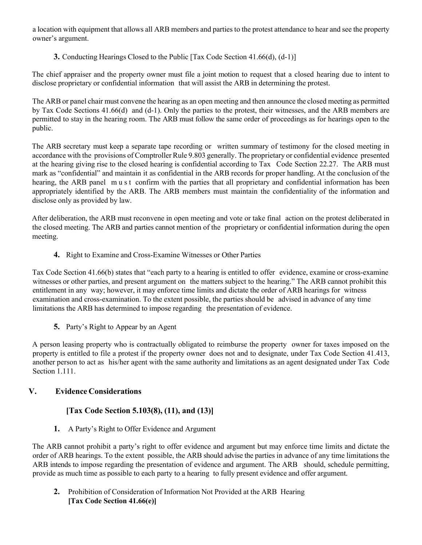a location with equipment that allows all ARB members and parties to the protest attendance to hear and see the property owner's argument.

**3.** Conducting Hearings Closed to the Public [Tax Code Section 41.66(d), (d-1)]

The chief appraiser and the property owner must file a joint motion to request that a closed hearing due to intent to disclose proprietary or confidential information that will assist the ARB in determining the protest.

The ARB or panel chair must convene the hearing as an open meeting and then announce the closed meeting as permitted by Tax Code Sections 41.66(d) and (d-1). Only the parties to the protest, their witnesses, and the ARB members are permitted to stay in the hearing room. The ARB must follow the same order of proceedings as for hearings open to the public.

The ARB secretary must keep a separate tape recording or written summary of testimony for the closed meeting in accordance with the provisions of Comptroller Rule 9.803 generally. The proprietary or confidential evidence presented at the hearing giving rise to the closed hearing is confidential according to Tax Code Section 22.27. The ARB must mark as "confidential" and maintain it as confidential in the ARB records for proper handling. At the conclusion of the hearing, the ARB panel must confirm with the parties that all proprietary and confidential information has been appropriately identified by the ARB. The ARB members must maintain the confidentiality of the information and disclose only as provided by law.

After deliberation, the ARB must reconvene in open meeting and vote or take final action on the protest deliberated in the closed meeting. The ARB and parties cannot mention of the proprietary or confidential information during the open meeting.

**4.** Right to Examine and Cross-Examine Witnesses or Other Parties

Tax Code Section 41.66(b) states that "each party to a hearing is entitled to offer evidence, examine or cross-examine witnesses or other parties, and present argument on the matters subject to the hearing." The ARB cannot prohibit this entitlement in any way; however, it may enforce time limits and dictate the order of ARB hearings for witness examination and cross-examination. To the extent possible, the parties should be advised in advance of any time limitations the ARB has determined to impose regarding the presentation of evidence.

**5.** Party's Right to Appear by an Agent

A person leasing property who is contractually obligated to reimburse the property owner for taxes imposed on the property is entitled to file a protest if the property owner does not and to designate, under Tax Code Section 41.413, another person to act as his/her agent with the same authority and limitations as an agent designated under Tax Code Section 1.111.

#### **V. Evidence Considerations**

## **[Tax Code Section 5.103(8), (11), and (13)]**

**1.** A Party's Right to Offer Evidence and Argument

The ARB cannot prohibit a party's right to offer evidence and argument but may enforce time limits and dictate the order of ARB hearings. To the extent possible, the ARB should advise the parties in advance of any time limitations the ARB intends to impose regarding the presentation of evidence and argument. The ARB should, schedule permitting, provide as much time as possible to each party to a hearing to fully present evidence and offer argument.

**2.** Prohibition of Consideration of Information Not Provided at the ARB Hearing **[Tax Code Section 41.66(e)]**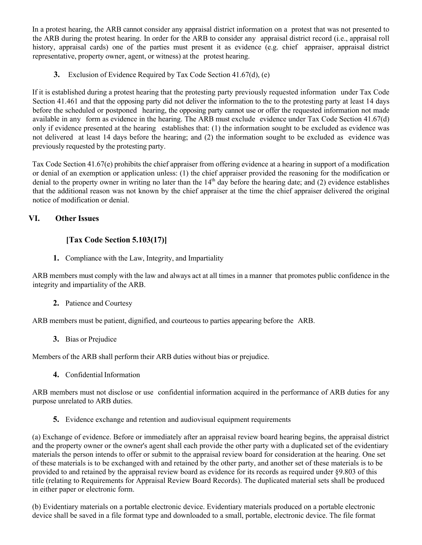In a protest hearing, the ARB cannot consider any appraisal district information on a protest that was not presented to the ARB during the protest hearing. In order for the ARB to consider any appraisal district record (i.e., appraisal roll history, appraisal cards) one of the parties must present it as evidence (e.g. chief appraiser, appraisal district representative, property owner, agent, or witness) at the protest hearing.

**3.** Exclusion of Evidence Required by Tax Code Section 41.67(d), (e)

If it is established during a protest hearing that the protesting party previously requested information under Tax Code Section 41.461 and that the opposing party did not deliver the information to the to the protesting party at least 14 days before the scheduled or postponed hearing, the opposing party cannot use or offer the requested information not made available in any form as evidence in the hearing. The ARB must exclude evidence under Tax Code Section 41.67(d) only if evidence presented at the hearing establishes that: (1) the information sought to be excluded as evidence was not delivered at least 14 days before the hearing; and (2) the information sought to be excluded as evidence was previously requested by the protesting party.

Tax Code Section 41.67(e) prohibits the chief appraiser from offering evidence at a hearing in support of a modification or denial of an exemption or application unless: (1) the chief appraiser provided the reasoning for the modification or denial to the property owner in writing no later than the  $14<sup>th</sup>$  day before the hearing date; and (2) evidence establishes that the additional reason was not known by the chief appraiser at the time the chief appraiser delivered the original notice of modification or denial.

### **VI. Other Issues**

## **[Tax Code Section 5.103(17)]**

**1.** Compliance with the Law, Integrity, and Impartiality

ARB members must comply with the law and always act at all times in a manner that promotes public confidence in the integrity and impartiality of the ARB.

#### **2.** Patience and Courtesy

ARB members must be patient, dignified, and courteous to parties appearing before the ARB.

**3.** Bias or Prejudice

Members of the ARB shall perform their ARB duties without bias or prejudice.

**4.** Confidential Information

ARB members must not disclose or use confidential information acquired in the performance of ARB duties for any purpose unrelated to ARB duties.

**5.** Evidence exchange and retention and audiovisual equipment requirements

(a) Exchange of evidence. Before or immediately after an appraisal review board hearing begins, the appraisal district and the property owner or the owner's agent shall each provide the other party with a duplicated set of the evidentiary materials the person intends to offer or submit to the appraisal review board for consideration at the hearing. One set of these materials is to be exchanged with and retained by the other party, and another set of these materials is to be provided to and retained by the appraisal review board as evidence for its records as required under §9.803 of this title (relating to Requirements for Appraisal Review Board Records). The duplicated material sets shall be produced in either paper or electronic form.

(b) Evidentiary materials on a portable electronic device. Evidentiary materials produced on a portable electronic device shall be saved in a file format type and downloaded to a small, portable, electronic device. The file format